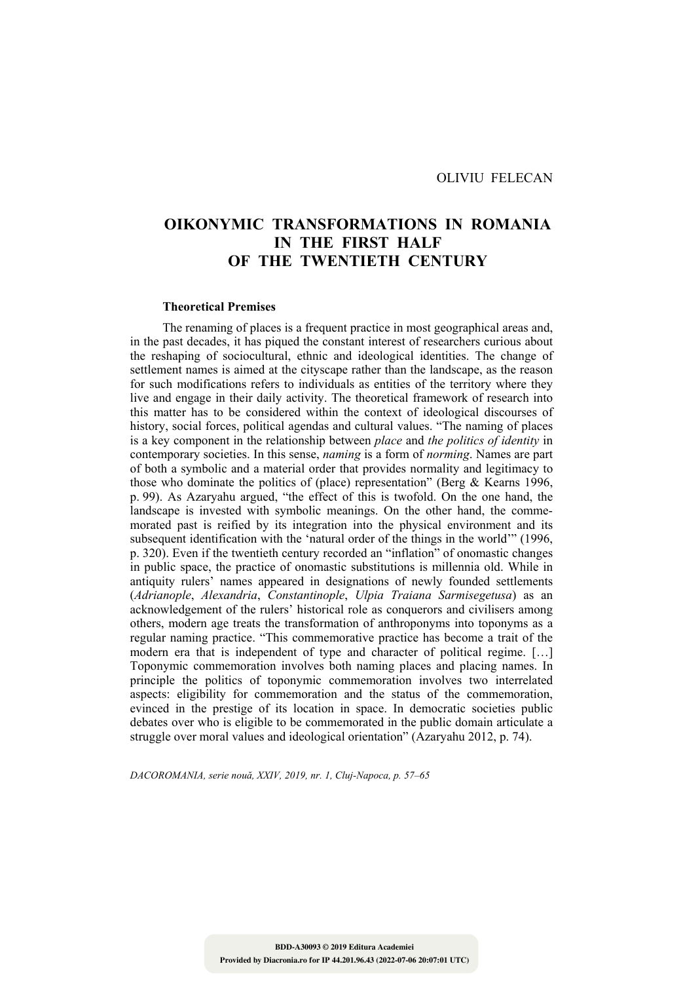# **OIKONYMIC TRANSFORMATIONS IN ROMANIA IN THE FIRST HALF OF THE TWENTIETH CENTURY**

## **Theoretical Premises**

The renaming of places is a frequent practice in most geographical areas and, in the past decades, it has piqued the constant interest of researchers curious about the reshaping of sociocultural, ethnic and ideological identities. The change of settlement names is aimed at the cityscape rather than the landscape, as the reason for such modifications refers to individuals as entities of the territory where they live and engage in their daily activity. The theoretical framework of research into this matter has to be considered within the context of ideological discourses of history, social forces, political agendas and cultural values. "The naming of places is a key component in the relationship between *place* and *the politics of identity* in contemporary societies. In this sense, *naming* is a form of *norming*. Names are part of both a symbolic and a material order that provides normality and legitimacy to those who dominate the politics of (place) representation" (Berg & Kearns 1996, p. 99). As Azaryahu argued, "the effect of this is twofold. On the one hand, the landscape is invested with symbolic meanings. On the other hand, the commemorated past is reified by its integration into the physical environment and its subsequent identification with the 'natural order of the things in the world'" (1996, p. 320). Even if the twentieth century recorded an "inflation" of onomastic changes in public space, the practice of onomastic substitutions is millennia old. While in antiquity rulers' names appeared in designations of newly founded settlements (*Adrianople*, *Alexandria*, *Constantinople*, *Ulpia Traiana Sarmisegetusa*) as an acknowledgement of the rulers' historical role as conquerors and civilisers among others, modern age treats the transformation of anthroponyms into toponyms as a regular naming practice. "This commemorative practice has become a trait of the modern era that is independent of type and character of political regime. […] Toponymic commemoration involves both naming places and placing names. In principle the politics of toponymic commemoration involves two interrelated aspects: eligibility for commemoration and the status of the commemoration, evinced in the prestige of its location in space. In democratic societies public debates over who is eligible to be commemorated in the public domain articulate a struggle over moral values and ideological orientation" (Azaryahu 2012, p. 74).

*DACOROMANIA, serie nouă, XXIV, 2019, nr. 1, Cluj-Napoca, p. 57–65*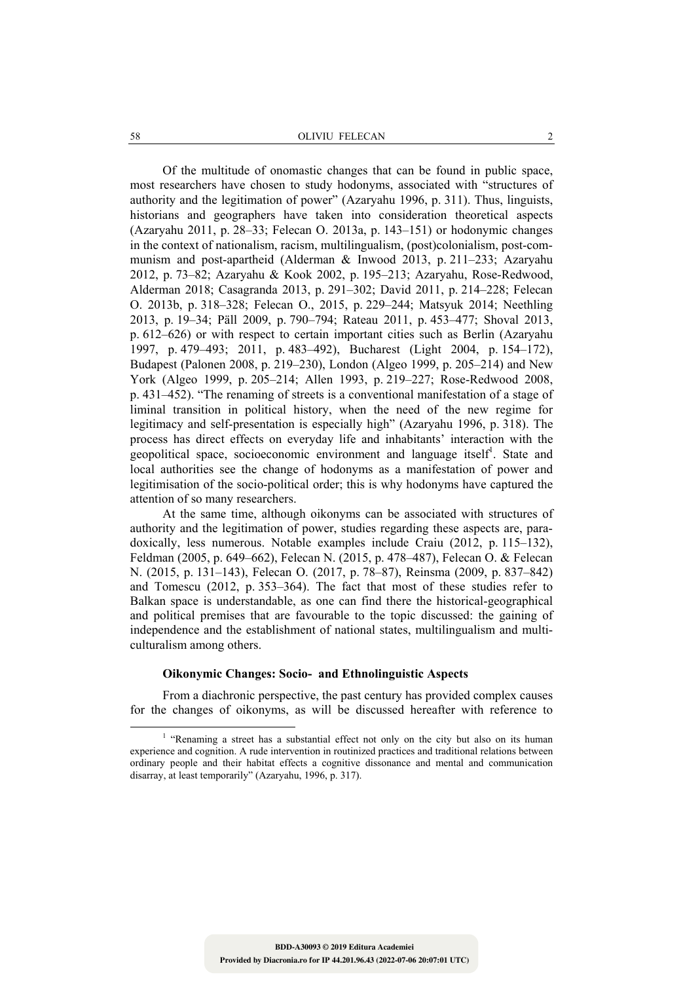Of the multitude of onomastic changes that can be found in public space, most researchers have chosen to study hodonyms, associated with "structures of authority and the legitimation of power" (Azaryahu 1996, p. 311). Thus, linguists, historians and geographers have taken into consideration theoretical aspects (Azaryahu 2011, p. 28–33; Felecan O. 2013a, p. 143–151) or hodonymic changes in the context of nationalism, racism, multilingualism, (post)colonialism, post-communism and post-apartheid (Alderman & Inwood 2013, p. 211–233; Azaryahu 2012, p. 73–82; Azaryahu & Kook 2002, p. 195–213; Azaryahu, Rose-Redwood, Alderman 2018; Casagranda 2013, p. 291–302; David 2011, p. 214–228; Felecan O. 2013b, p. 318–328; Felecan O., 2015, p. 229–244; Matsyuk 2014; Neethling 2013, p. 19–34; Päll 2009, p. 790–794; Rateau 2011, p. 453–477; Shoval 2013, p. 612–626) or with respect to certain important cities such as Berlin (Azaryahu 1997, p. 479–493; 2011, p. 483–492), Bucharest (Light 2004, p. 154–172), Budapest (Palonen 2008, p. 219–230), London (Algeo 1999, p. 205–214) and New York (Algeo 1999, p. 205–214; Allen 1993, p. 219–227; Rose-Redwood 2008, p. 431–452). "The renaming of streets is a conventional manifestation of a stage of liminal transition in political history, when the need of the new regime for legitimacy and self-presentation is especially high" (Azaryahu 1996, p. 318). The process has direct effects on everyday life and inhabitants' interaction with the geopolitical space, socioeconomic environment and language itself<sup>1</sup>. State and local authorities see the change of hodonyms as a manifestation of power and legitimisation of the socio-political order; this is why hodonyms have captured the attention of so many researchers.

At the same time, although oikonyms can be associated with structures of authority and the legitimation of power, studies regarding these aspects are, paradoxically, less numerous. Notable examples include Craiu (2012, p. 115–132), Feldman (2005, p. 649–662), Felecan N. (2015, p. 478–487), Felecan O. & Felecan N. (2015, p. 131–143), Felecan O. (2017, p. 78–87), Reinsma (2009, p. 837–842) and Tomescu (2012, p. 353–364). The fact that most of these studies refer to Balkan space is understandable, as one can find there the historical-geographical and political premises that are favourable to the topic discussed: the gaining of independence and the establishment of national states, multilingualism and multiculturalism among others.

#### **Oikonymic Changes: Socio- and Ethnolinguistic Aspects**

From a diachronic perspective, the past century has provided complex causes for the changes of oikonyms, as will be discussed hereafter with reference to

<sup>&</sup>lt;sup>1</sup>  $<sup>1</sup>$  "Renaming a street has a substantial effect not only on the city but also on its human</sup> experience and cognition. A rude intervention in routinized practices and traditional relations between ordinary people and their habitat effects a cognitive dissonance and mental and communication disarray, at least temporarily" (Azaryahu, 1996, p. 317).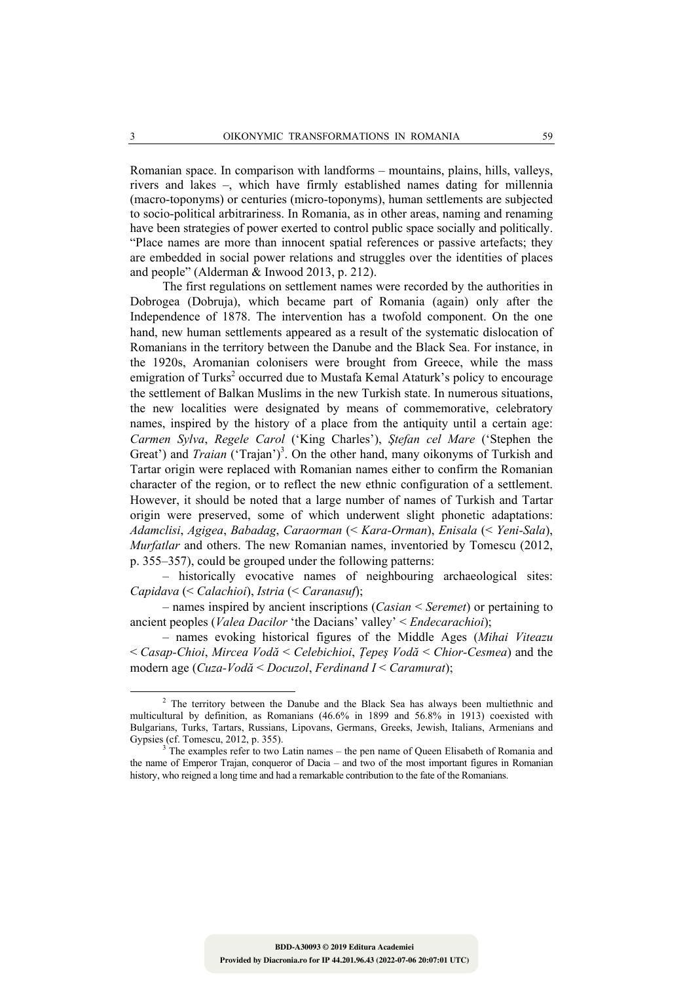Romanian space. In comparison with landforms – mountains, plains, hills, valleys, rivers and lakes –, which have firmly established names dating for millennia (macro-toponyms) or centuries (micro-toponyms), human settlements are subjected to socio-political arbitrariness. In Romania, as in other areas, naming and renaming have been strategies of power exerted to control public space socially and politically. "Place names are more than innocent spatial references or passive artefacts; they are embedded in social power relations and struggles over the identities of places and people" (Alderman & Inwood 2013, p. 212).

The first regulations on settlement names were recorded by the authorities in Dobrogea (Dobruja), which became part of Romania (again) only after the Independence of 1878. The intervention has a twofold component. On the one hand, new human settlements appeared as a result of the systematic dislocation of Romanians in the territory between the Danube and the Black Sea. For instance, in the 1920s, Aromanian colonisers were brought from Greece, while the mass emigration of Turks<sup>2</sup> occurred due to Mustafa Kemal Ataturk's policy to encourage the settlement of Balkan Muslims in the new Turkish state. In numerous situations, the new localities were designated by means of commemorative, celebratory names, inspired by the history of a place from the antiquity until a certain age: *Carmen Sylva*, *Regele Carol* ('King Charles'), *Ştefan cel Mare* ('Stephen the Great') and *Traian* ('Trajan')<sup>3</sup>. On the other hand, many oikonyms of Turkish and Tartar origin were replaced with Romanian names either to confirm the Romanian character of the region, or to reflect the new ethnic configuration of a settlement. However, it should be noted that a large number of names of Turkish and Tartar origin were preserved, some of which underwent slight phonetic adaptations: *Adamclisi*, *Agigea*, *Babadag*, *Caraorman* (< *Kara-Orman*), *Enisala* (< *Yeni-Sala*), *Murfatlar* and others. The new Romanian names, inventoried by Tomescu (2012, p. 355–357), could be grouped under the following patterns:

– historically evocative names of neighbouring archaeological sites: *Capidava* (< *Calachioi*), *Istria* (< *Caranasuf*);

– names inspired by ancient inscriptions (*Casian* < *Seremet*) or pertaining to ancient peoples (*Valea Dacilor* 'the Dacians' valley' < *Endecarachioi*);

– names evoking historical figures of the Middle Ages (*Mihai Viteazu* < *Casap-Chioi*, *Mircea Vodă* < *Celebichioi*, *Ţepeş Vodă* < *Chior-Cesmea*) and the modern age (*Cuza-Vodă* < *Docuzol*, *Ferdinand I* < *Caramurat*);

 <sup>2</sup> <sup>2</sup> The territory between the Danube and the Black Sea has always been multiethnic and multicultural by definition, as Romanians (46.6% in 1899 and 56.8% in 1913) coexisted with Bulgarians, Turks, Tartars, Russians, Lipovans, Germans, Greeks, Jewish, Italians, Armenians and Gypsies (cf. Tomescu, 2012, p. 355). 3

 $3$  The examples refer to two Latin names – the pen name of Queen Elisabeth of Romania and the name of Emperor Trajan, conqueror of Dacia – and two of the most important figures in Romanian history, who reigned a long time and had a remarkable contribution to the fate of the Romanians.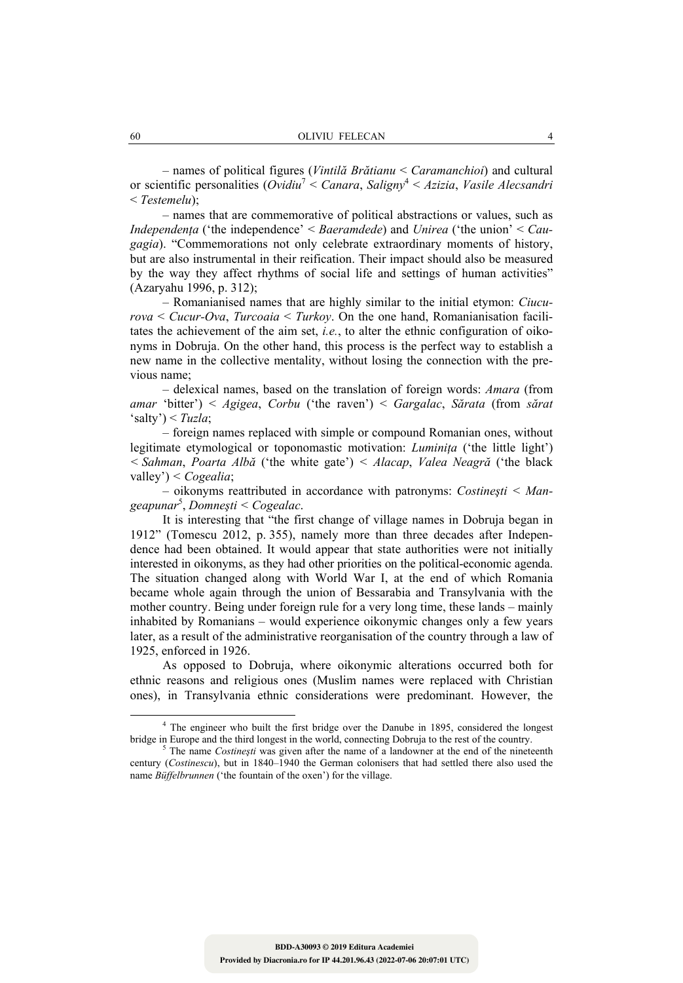– names of political figures (*Vintilă Brătianu* < *Caramanchioi*) and cultural or scientific personalities (*Ovidiu*<sup>7</sup> < *Canara*, *Saligny*<sup>4</sup> < *Azizia*, *Vasile Alecsandri* < *Testemelu*);

– names that are commemorative of political abstractions or values, such as *Independenţa* ('the independence' < *Baeramdede*) and *Unirea* ('the union' < *Caugagia*). "Commemorations not only celebrate extraordinary moments of history, but are also instrumental in their reification. Their impact should also be measured by the way they affect rhythms of social life and settings of human activities" (Azaryahu 1996, p. 312);

– Romanianised names that are highly similar to the initial etymon: *Ciucurova* < *Cucur-Ova*, *Turcoaia* < *Turkoy*. On the one hand, Romanianisation facilitates the achievement of the aim set, *i.e.*, to alter the ethnic configuration of oikonyms in Dobruja. On the other hand, this process is the perfect way to establish a new name in the collective mentality, without losing the connection with the previous name;

– delexical names, based on the translation of foreign words: *Amara* (from *amar* 'bitter') < *Agigea*, *Corbu* ('the raven') < *Gargalac*, *Sărata* (from *sărat* 'salty') < *Tuzla*;

– foreign names replaced with simple or compound Romanian ones, without legitimate etymological or toponomastic motivation: *Luminiţa* ('the little light') *< Sahman*, *Poarta Albă* ('the white gate') *< Alacap*, *Valea Neagră* ('the black valley') *< Cogealia*;

– oikonyms reattributed in accordance with patronyms: *Costineşti < Mangeapunar* 5 , *Domneşti < Cogealac*.

It is interesting that "the first change of village names in Dobruja began in 1912" (Tomescu 2012, p. 355), namely more than three decades after Independence had been obtained. It would appear that state authorities were not initially interested in oikonyms, as they had other priorities on the political-economic agenda. The situation changed along with World War I, at the end of which Romania became whole again through the union of Bessarabia and Transylvania with the mother country. Being under foreign rule for a very long time, these lands – mainly inhabited by Romanians – would experience oikonymic changes only a few years later, as a result of the administrative reorganisation of the country through a law of 1925, enforced in 1926.

As opposed to Dobruja, where oikonymic alterations occurred both for ethnic reasons and religious ones (Muslim names were replaced with Christian ones), in Transylvania ethnic considerations were predominant. However, the

 $\frac{1}{4}$ <sup>4</sup> The engineer who built the first bridge over the Danube in 1895, considered the longest bridge in Europe and the third longest in the world, connecting Dobruja to the rest of the country. 5

 $5$  The name *Costinești* was given after the name of a landowner at the end of the nineteenth century (*Costinescu*), but in 1840–1940 the German colonisers that had settled there also used the name *Büffelbrunnen* ('the fountain of the oxen') for the village.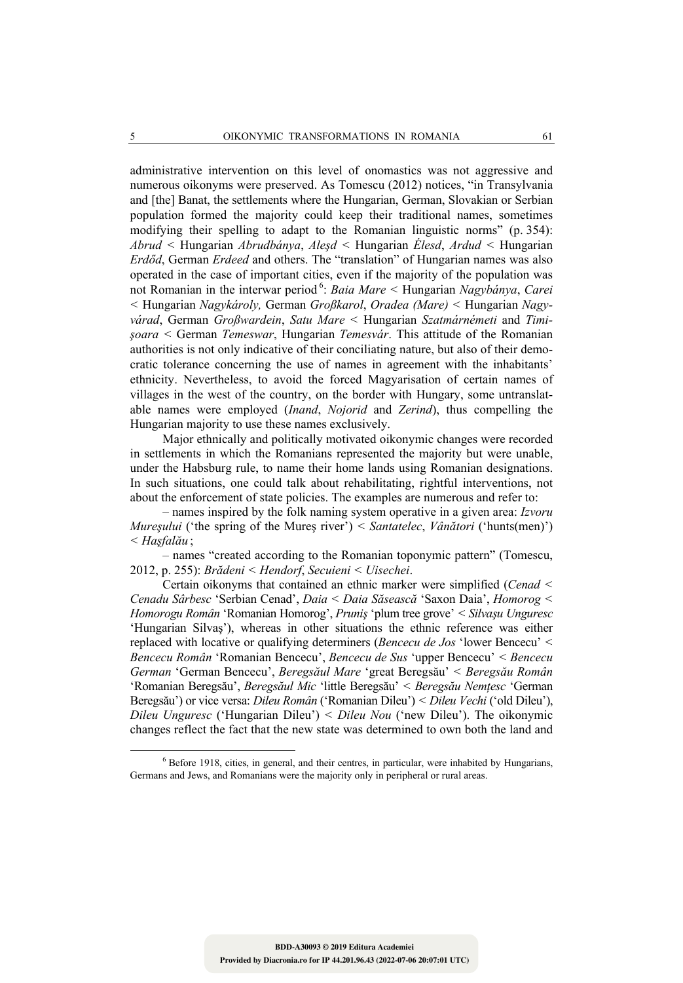administrative intervention on this level of onomastics was not aggressive and numerous oikonyms were preserved. As Tomescu (2012) notices, "in Transylvania and [the] Banat, the settlements where the Hungarian, German, Slovakian or Serbian population formed the majority could keep their traditional names, sometimes modifying their spelling to adapt to the Romanian linguistic norms" (p. 354): *Abrud <* Hungarian *Abrudbánya*, *Aleşd <* Hungarian *Élesd*, *Ardud <* Hungarian *Erdőd*, German *Erdeed* and others. The "translation" of Hungarian names was also operated in the case of important cities, even if the majority of the population was not Romanian in the interwar period 6: *Baia Mare <* Hungarian *Nagybánya*, *Carei <* Hungarian *Nagykároly,* German *Großkarol*, *Oradea (Mare) <* Hungarian *Nagyvárad*, German *Großwardein*, *Satu Mare <* Hungarian *Szatmárnémeti* and *Timişoara <* German *Temeswar*, Hungarian *Temesvár*. This attitude of the Romanian authorities is not only indicative of their conciliating nature, but also of their democratic tolerance concerning the use of names in agreement with the inhabitants' ethnicity. Nevertheless, to avoid the forced Magyarisation of certain names of villages in the west of the country, on the border with Hungary, some untranslatable names were employed (*Inand*, *Nojorid* and *Zerind*), thus compelling the Hungarian majority to use these names exclusively.

Major ethnically and politically motivated oikonymic changes were recorded in settlements in which the Romanians represented the majority but were unable, under the Habsburg rule, to name their home lands using Romanian designations. In such situations, one could talk about rehabilitating, rightful interventions, not about the enforcement of state policies. The examples are numerous and refer to:

– names inspired by the folk naming system operative in a given area: *Izvoru Mureşului* ('the spring of the Mureş river') *< Santatelec*, *Vânători* ('hunts(men)') *< Haşfalău* ;

– names "created according to the Romanian toponymic pattern" (Tomescu, 2012, p. 255): *Brădeni < Hendorf*, *Secuieni < Uisechei*.

Certain oikonyms that contained an ethnic marker were simplified (*Cenad < Cenadu Sârbesc* 'Serbian Cenad', *Daia < Daia Săsească* 'Saxon Daia', *Homorog < Homorogu Român* 'Romanian Homorog', *Pruniş* 'plum tree grove' *< Silvaşu Unguresc* 'Hungarian Silvaş'), whereas in other situations the ethnic reference was either replaced with locative or qualifying determiners (*Bencecu de Jos* 'lower Bencecu' *< Bencecu Român* 'Romanian Bencecu', *Bencecu de Sus* 'upper Bencecu' *< Bencecu German* 'German Bencecu', *Beregsăul Mare* 'great Beregsău' *< Beregsău Român* 'Romanian Beregsău', *Beregsăul Mic* 'little Beregsău' *< Beregsău Nemţesc* 'German Beregsău') or vice versa: *Dileu Român* ('Romanian Dileu') *< Dileu Vechi* ('old Dileu'), *Dileu Unguresc* ('Hungarian Dileu') *< Dileu Nou* ('new Dileu'). The oikonymic changes reflect the fact that the new state was determined to own both the land and

 <sup>6</sup>  $6$  Before 1918, cities, in general, and their centres, in particular, were inhabited by Hungarians, Germans and Jews, and Romanians were the majority only in peripheral or rural areas.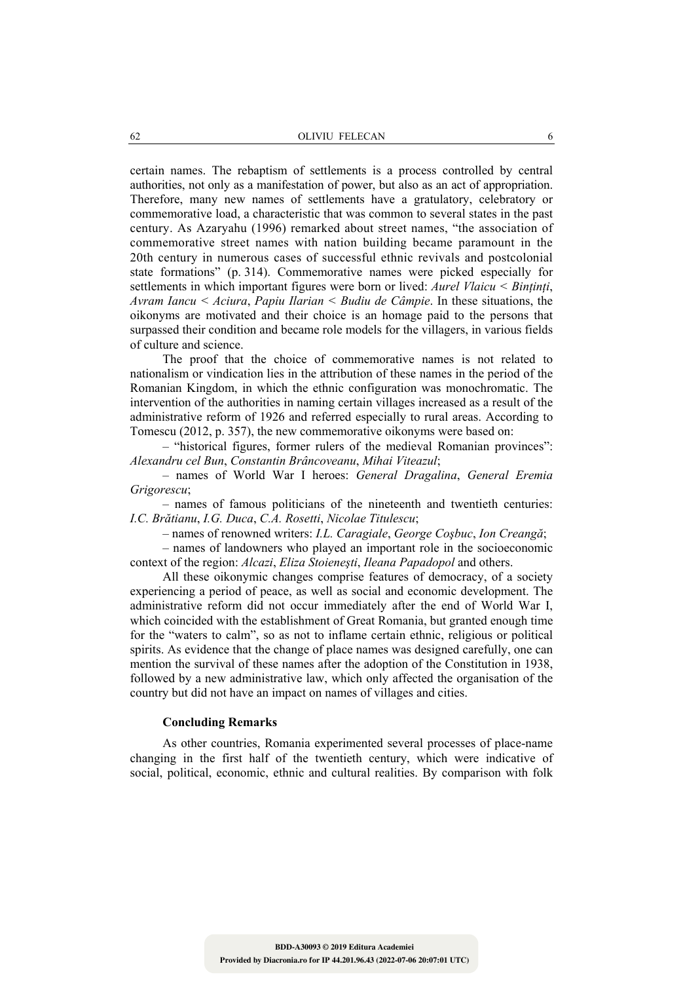certain names. The rebaptism of settlements is a process controlled by central authorities, not only as a manifestation of power, but also as an act of appropriation. Therefore, many new names of settlements have a gratulatory, celebratory or commemorative load, a characteristic that was common to several states in the past century. As Azaryahu (1996) remarked about street names, "the association of commemorative street names with nation building became paramount in the 20th century in numerous cases of successful ethnic revivals and postcolonial state formations" (p. 314). Commemorative names were picked especially for settlements in which important figures were born or lived: *Aurel Vlaicu < Binţinţi*, *Avram Iancu < Aciura*, *Papiu Ilarian < Budiu de Câmpie*. In these situations, the oikonyms are motivated and their choice is an homage paid to the persons that surpassed their condition and became role models for the villagers, in various fields of culture and science.

The proof that the choice of commemorative names is not related to nationalism or vindication lies in the attribution of these names in the period of the Romanian Kingdom, in which the ethnic configuration was monochromatic. The intervention of the authorities in naming certain villages increased as a result of the administrative reform of 1926 and referred especially to rural areas. According to Tomescu (2012, p. 357), the new commemorative oikonyms were based on:

– "historical figures, former rulers of the medieval Romanian provinces": *Alexandru cel Bun*, *Constantin Brâncoveanu*, *Mihai Viteazul*;

– names of World War I heroes: *General Dragalina*, *General Eremia Grigorescu*;

– names of famous politicians of the nineteenth and twentieth centuries: *I.C. Brătianu*, *I.G. Duca*, *C.A. Rosetti*, *Nicolae Titulescu*;

– names of renowned writers: *I.L. Caragiale*, *George Coşbuc*, *Ion Creangă*;

– names of landowners who played an important role in the socioeconomic context of the region: *Alcazi*, *Eliza Stoieneşti*, *Ileana Papadopol* and others.

All these oikonymic changes comprise features of democracy, of a society experiencing a period of peace, as well as social and economic development. The administrative reform did not occur immediately after the end of World War I, which coincided with the establishment of Great Romania, but granted enough time for the "waters to calm", so as not to inflame certain ethnic, religious or political spirits. As evidence that the change of place names was designed carefully, one can mention the survival of these names after the adoption of the Constitution in 1938, followed by a new administrative law, which only affected the organisation of the country but did not have an impact on names of villages and cities.

# **Concluding Remarks**

As other countries, Romania experimented several processes of place-name changing in the first half of the twentieth century, which were indicative of social, political, economic, ethnic and cultural realities. By comparison with folk

**Provided by Diacronia.ro for IP 44.201.96.43 (2022-07-06 20:07:01 UTC)**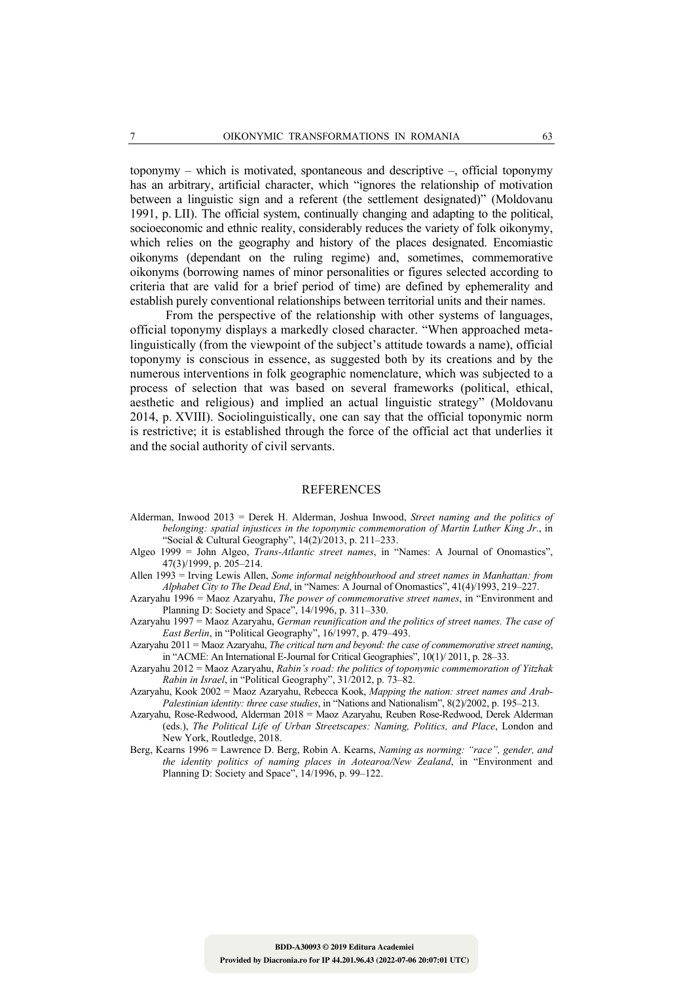toponymy – which is motivated, spontaneous and descriptive –, official toponymy has an arbitrary, artificial character, which "ignores the relationship of motivation between a linguistic sign and a referent (the settlement designated)" (Moldovanu 1991, p. LII). The official system, continually changing and adapting to the political, socioeconomic and ethnic reality, considerably reduces the variety of folk oikonymy, which relies on the geography and history of the places designated. Encomiastic oikonyms (dependant on the ruling regime) and, sometimes, commemorative oikonyms (borrowing names of minor personalities or figures selected according to criteria that are valid for a brief period of time) are defined by ephemerality and establish purely conventional relationships between territorial units and their names.

 From the perspective of the relationship with other systems of languages, official toponymy displays a markedly closed character. "When approached metalinguistically (from the viewpoint of the subject's attitude towards a name), official toponymy is conscious in essence, as suggested both by its creations and by the numerous interventions in folk geographic nomenclature, which was subjected to a process of selection that was based on several frameworks (political, ethical, aesthetic and religious) and implied an actual linguistic strategy" (Moldovanu 2014, p. XVIII). Sociolinguistically, one can say that the official toponymic norm is restrictive; it is established through the force of the official act that underlies it and the social authority of civil servants.

### REFERENCES

- Alderman, Inwood 2013 = Derek H. Alderman, Joshua Inwood, *Street naming and the politics of belonging: spatial injustices in the toponymic commemoration of Martin Luther King Jr*., in "Social & Cultural Geography", 14(2)/2013, p. 211–233.
- Algeo 1999 = John Algeo, *Trans-Atlantic street names*, in "Names: A Journal of Onomastics", 47(3)/1999, p. 205–214.
- Allen 1993 = Irving Lewis Allen, *Some informal neighbourhood and street names in Manhattan: from Alphabet City to The Dead End*, in "Names: A Journal of Onomastics", 41(4)/1993, 219–227.
- Azaryahu 1996 = Maoz Azaryahu, *The power of commemorative street names*, in "Environment and Planning D: Society and Space", 14/1996, p. 311–330.
- Azaryahu 1997 = Maoz Azaryahu, *German reunification and the politics of street names. The case of East Berlin*, in "Political Geography", 16/1997, p. 479–493.
- Azaryahu 2011 = Maoz Azaryahu, *The critical turn and beyond: the case of commemorative street naming*, in "ACME: An International E-Journal for Critical Geographies", 10(1)/ 2011, p. 28–33.
- Azaryahu 2012 = Maoz Azaryahu, *Rabin's road: the politics of toponymic commemoration of Yitzhak Rabin in Israel*, in "Political Geography", 31/2012, p. 73–82.
- Azaryahu, Kook 2002 = Maoz Azaryahu, Rebecca Kook, *Mapping the nation: street names and Arab-Palestinian identity: three case studies*, in "Nations and Nationalism", 8(2)/2002, p. 195–213.
- Azaryahu, Rose-Redwood, Alderman 2018 = Maoz Azaryahu, Reuben Rose-Redwood, Derek Alderman (eds.), *The Political Life of Urban Streetscapes: Naming, Politics, and Place*, London and New York, Routledge, 2018.
- Berg, Kearns 1996 = Lawrence D. Berg, Robin A. Kearns, *Naming as norming: "race", gender, and the identity politics of naming places in Aotearoa/New Zealand*, in "Environment and Planning D: Society and Space", 14/1996, p. 99–122.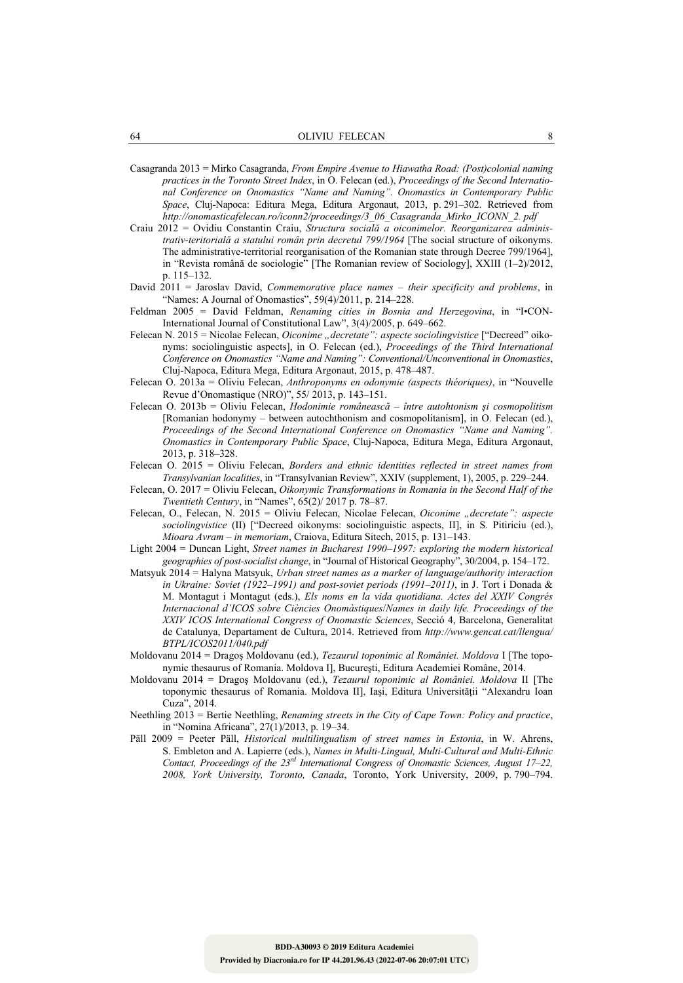- Casagranda 2013 = Mirko Casagranda, *From Empire Avenue to Hiawatha Road: (Post)colonial naming practices in the Toronto Street Index*, in O. Felecan (ed.), *Proceedings of the Second International Conference on Onomastics "Name and Naming". Onomastics in Contemporary Public Space*, Cluj-Napoca: Editura Mega, Editura Argonaut, 2013, p. 291–302. Retrieved from *http://onomasticafelecan.ro/iconn2/proceedings/3\_06\_Casagranda\_Mirko\_ICONN\_2. pdf*
- Craiu 2012 = Ovidiu Constantin Craiu, *Structura socială a oiconimelor. Reorganizarea administrativ-teritorială a statului român prin decretul 799/1964* [The social structure of oikonyms. The administrative-territorial reorganisation of the Romanian state through Decree 799/1964], in "Revista română de sociologie" [The Romanian review of Sociology], XXIII (1–2)/2012, p. 115–132.
- David 2011 = Jaroslav David, *Commemorative place names their specificity and problems*, in "Names: A Journal of Onomastics", 59(4)/2011, p. 214-228.
- Feldman 2005 = David Feldman, *Renaming cities in Bosnia and Herzegovina*, in "I•CON-International Journal of Constitutional Law", 3(4)/2005, p. 649–662.
- Felecan N. 2015 = Nicolae Felecan, *Oiconime "decretate": aspecte sociolingvistice* ["Decreed" oikonyms: sociolinguistic aspects], in O. Felecan (ed.), *Proceedings of the Third International Conference on Onomastics "Name and Naming": Conventional/Unconventional in Onomastics*, Cluj-Napoca, Editura Mega, Editura Argonaut, 2015, p. 478–487.
- Felecan O. 2013a = Oliviu Felecan, *Anthroponyms en odonymie (aspects théoriques)*, in "Nouvelle Revue d'Onomastique (NRO)", 55/ 2013, p. 143–151.
- Felecan O. 2013b = Oliviu Felecan, *Hodonimie românească între autohtonism şi cosmopolitism* [Romanian hodonymy – between autochthonism and cosmopolitanism], in O. Felecan (ed.), *Proceedings of the Second International Conference on Onomastics "Name and Naming". Onomastics in Contemporary Public Space*, Cluj-Napoca, Editura Mega, Editura Argonaut, 2013, p. 318–328.
- Felecan O. 2015 = Oliviu Felecan, *Borders and ethnic identities reflected in street names from Transylvanian localities*, in "Transylvanian Review", XXIV (supplement, 1), 2005, p. 229–244.
- Felecan, O. 2017 = Oliviu Felecan, *Oikonymic Transformations in Romania in the Second Half of the Twentieth Century*, in "Names", 65(2)/ 2017 p. 78–87.
- Felecan, O., Felecan, N. 2015 = Oliviu Felecan, Nicolae Felecan, *Oiconime "decretate": aspecte sociolingvistice* (II) ["Decreed oikonyms: sociolinguistic aspects, II], in S. Pitiriciu (ed.), *Mioara Avram – in memoriam*, Craiova, Editura Sitech, 2015, p. 131–143.
- Light 2004 = Duncan Light, *Street names in Bucharest 1990–1997: exploring the modern historical geographies of post-socialist change*, in "Journal of Historical Geography", 30/2004, p. 154–172.
- Matsyuk 2014 = Halyna Matsyuk, *Urban street names as a marker of language/authority interaction in Ukraine: Soviet (1922–1991) and post-soviet periods (1991–2011)*, in J. Tort i Donada & M. Montagut i Montagut (eds.), *Els noms en la vida quotidiana. Actes del XXIV Congrés Internacional d'ICOS sobre Ciències Onomàstiques*/*Names in daily life. Proceedings of the XXIV ICOS International Congress of Onomastic Sciences*, Secció 4, Barcelona, Generalitat de Catalunya, Departament de Cultura, 2014. Retrieved from *http://www.gencat.cat/llengua/ BTPL/ICOS2011/040.pdf*
- Moldovanu 2014 = Dragoş Moldovanu (ed.), *Tezaurul toponimic al României. Moldova* I [The toponymic thesaurus of Romania. Moldova I], Bucureşti, Editura Academiei Române, 2014.
- Moldovanu 2014 = Dragoş Moldovanu (ed.), *Tezaurul toponimic al României. Moldova* II [The toponymic thesaurus of Romania. Moldova II], Iaşi, Editura Universităţii "Alexandru Ioan Cuza", 2014.
- Neethling 2013 = Bertie Neethling, *Renaming streets in the City of Cape Town: Policy and practice*, in "Nomina Africana", 27(1)/2013, p. 19–34.
- Päll 2009 = Peeter Päll, *Historical multilingualism of street names in Estonia*, in W. Ahrens, S. Embleton and A. Lapierre (eds.), *Names in Multi-Lingual, Multi-Cultural and Multi-Ethnic Contact, Proceedings of the 23rd International Congress of Onomastic Sciences, August 17–22, 2008, York University, Toronto, Canada*, Toronto, York University, 2009, p. 790–794.